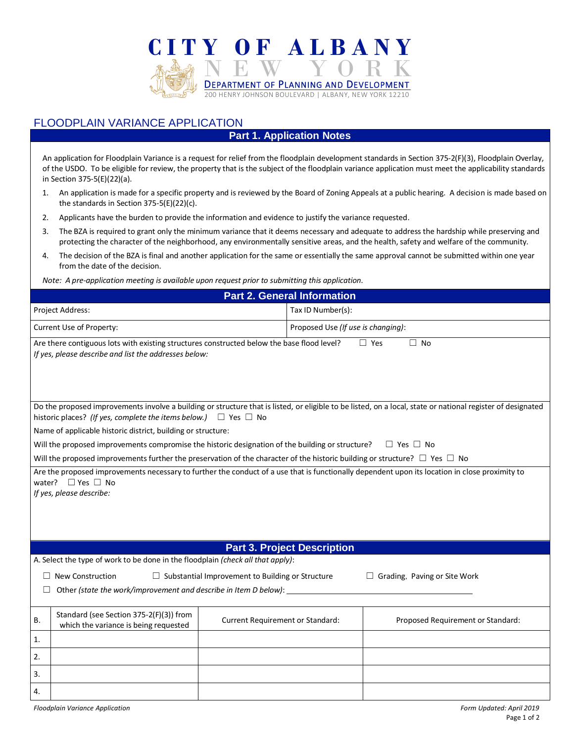

## FLOODPLAIN VARIANCE APPLICATION

## **Part 1. Application Notes**

An application for Floodplain Variance is a request for relief from the floodplain development standards in Section 375-2(F)(3), Floodplain Overlay, of the USDO. To be eligible for review, the property that is the subject of the floodplain variance application must meet the applicability standards in Section 375-5(E)(22)(a).

- 1. An application is made for a specific property and is reviewed by the Board of Zoning Appeals at a public hearing. A decision is made based on the standards in Section 375-5(E)(22)(c).
- 2. Applicants have the burden to provide the information and evidence to justify the variance requested.
- 3. The BZA is required to grant only the minimum variance that it deems necessary and adequate to address the hardship while preserving and protecting the character of the neighborhood, any environmentally sensitive areas, and the health, safety and welfare of the community.
- 4. The decision of the BZA is final and another application for the same or essentially the same approval cannot be submitted within one year from the date of the decision.

*Note: A pre-application meeting is available upon request prior to submitting this application.*

| <b>Part 2. General Information</b>                                                                                                                                                                                                       |                                         |                                   |  |  |  |  |
|------------------------------------------------------------------------------------------------------------------------------------------------------------------------------------------------------------------------------------------|-----------------------------------------|-----------------------------------|--|--|--|--|
| Project Address:                                                                                                                                                                                                                         | Tax ID Number(s):                       |                                   |  |  |  |  |
| Current Use of Property:                                                                                                                                                                                                                 | Proposed Use (If use is changing):      |                                   |  |  |  |  |
| Are there contiguous lots with existing structures constructed below the base flood level?<br>If yes, please describe and list the addresses below:                                                                                      | $\Box$ Yes<br>$\Box$ No                 |                                   |  |  |  |  |
| Do the proposed improvements involve a building or structure that is listed, or eligible to be listed, on a local, state or national register of designated<br>historic places? (If yes, complete the items below.) $\Box$ Yes $\Box$ No |                                         |                                   |  |  |  |  |
| Name of applicable historic district, building or structure:                                                                                                                                                                             |                                         |                                   |  |  |  |  |
| Will the proposed improvements compromise the historic designation of the building or structure?                                                                                                                                         | $\Box$ Yes $\Box$ No                    |                                   |  |  |  |  |
| Will the proposed improvements further the preservation of the character of the historic building or structure? $\Box$ Yes $\Box$ No                                                                                                     |                                         |                                   |  |  |  |  |
| water? $\Box$ Yes $\Box$ No<br>If yes, please describe:                                                                                                                                                                                  |                                         |                                   |  |  |  |  |
|                                                                                                                                                                                                                                          | <b>Part 3. Project Description</b>      |                                   |  |  |  |  |
| A. Select the type of work to be done in the floodplain (check all that apply):                                                                                                                                                          |                                         |                                   |  |  |  |  |
| $\Box$ New Construction<br>$\Box$ Substantial Improvement to Building or Structure                                                                                                                                                       | $\Box$ Grading, Paving or Site Work     |                                   |  |  |  |  |
| Other (state the work/improvement and describe in Item D below):                                                                                                                                                                         |                                         |                                   |  |  |  |  |
| Standard (see Section 375-2(F)(3)) from<br>В.<br>which the variance is being requested                                                                                                                                                   | <b>Current Requirement or Standard:</b> | Proposed Requirement or Standard: |  |  |  |  |
| 1.                                                                                                                                                                                                                                       |                                         |                                   |  |  |  |  |
| 2.                                                                                                                                                                                                                                       |                                         |                                   |  |  |  |  |
| 3.                                                                                                                                                                                                                                       |                                         |                                   |  |  |  |  |
| 4.                                                                                                                                                                                                                                       |                                         |                                   |  |  |  |  |
| Form Updated: April 2019<br><b>Floodplain Variance Application</b>                                                                                                                                                                       |                                         |                                   |  |  |  |  |